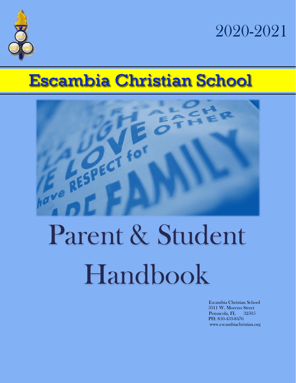

2020-2021

# **Escambia Christian School**



# Parent & Student Handbook

Escambia Christian School 3311 W. Moreno Street Pensacola, FL 32505 PH: 850-433-8476 www.escambiachristian.org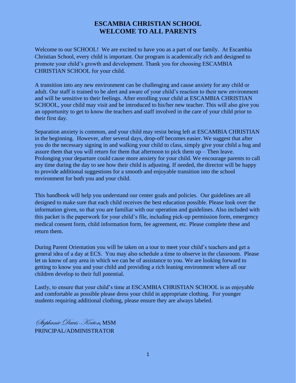### **ESCAMBIA CHRISTIAN SCHOOL WELCOME TO ALL PARENTS**

Welcome to our SCHOOL! We are excited to have you as a part of our family. At Escambia Christian School, every child is important. Our program is academically rich and designed to promote your child's growth and development. Thank you for choosing ESCAMBIA CHRISTIAN SCHOOL for your child.

A transition into any new environment can be challenging and cause anxiety for any child or adult. Our staff is trained to be alert and aware of your child's reaction to their new environment and will be sensitive to their feelings. After enrolling your child at ESCAMBIA CHRISTIAN SCHOOL, your child may visit and be introduced to his/her new teacher. This will also give you an opportunity to get to know the teachers and staff involved in the care of your child prior to their first day.

Separation anxiety is common, and your child may resist being left at ESCAMBIA CHRISTIAN in the beginning. However, after several days, drop-off becomes easier. We suggest that after you do the necessary signing in and walking your child to class, simply give your child a hug and assure them that you will return for them that afternoon to pick them up – Then leave. Prolonging your departure could cause more anxiety for your child. We encourage parents to call any time during the day to see how their child is adjusting. If needed, the director will be happy to provide additional suggestions for a smooth and enjoyable transition into the school environment for both you and your child.

This handbook will help you understand our center goals and policies. Our guidelines are all designed to make sure that each child receives the best education possible. Please look over the information given, so that you are familiar with our operation and guidelines. Also included with this packet is the paperwork for your child's file, including pick-up permission form, emergency medical consent form, child information form, fee agreement, etc. Please complete these and return them.

During Parent Orientation you will be taken on a tour to meet your child's teachers and get a general idea of a day at ECS. You may also schedule a time to observe in the classroom. Please let us know of any area in which we can be of assistance to you. We are looking forward to getting to know you and your child and providing a rich leaning environment where all our children develop to their full potential.

Lastly, to ensure that your child's time at ESCAMBIA CHRISTIAN SCHOOL is as enjoyable and comfortable as possible please dress your child in appropriate clothing. For younger students requiring additional clothing, please ensure they are always labeled.

Stephanie Davis-Keeton, MSM PRINCIPAL/ADMINISTRATOR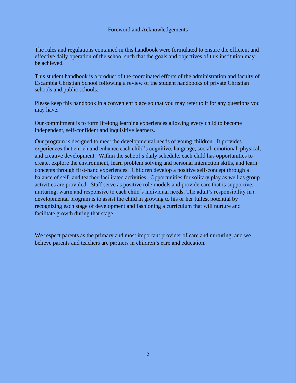#### Foreword and Acknowledgements

The rules and regulations contained in this handbook were formulated to ensure the efficient and effective daily operation of the school such that the goals and objectives of this institution may be achieved.

This student handbook is a product of the coordinated efforts of the administration and faculty of Escambia Christian School following a review of the student handbooks of private Christian schools and public schools.

Please keep this handbook in a convenient place so that you may refer to it for any questions you may have.

Our commitment is to form lifelong learning experiences allowing every child to become independent, self-confident and inquisitive learners.

Our program is designed to meet the developmental needs of young children. It provides experiences that enrich and enhance each child's cognitive, language, social, emotional, physical, and creative development. Within the school's daily schedule, each child has opportunities to create, explore the environment, learn problem solving and personal interaction skills, and learn concepts through first-hand experiences. Children develop a positive self-concept through a balance of self- and teacher-facilitated activities. Opportunities for solitary play as well as group activities are provided. Staff serve as positive role models and provide care that is supportive, nurturing, warm and responsive to each child's individual needs. The adult's responsibility in a developmental program is to assist the child in growing to his or her fullest potential by recognizing each stage of development and fashioning a curriculum that will nurture and facilitate growth during that stage.

We respect parents as the primary and most important provider of care and nurturing, and we believe parents and teachers are partners in children's care and education.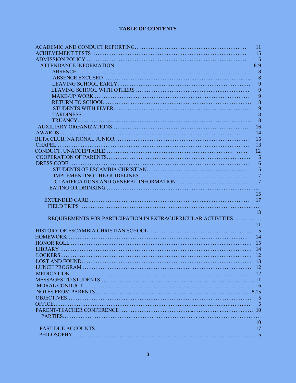#### **TABLE OF CONTENTS**

|                                                              | 11             |
|--------------------------------------------------------------|----------------|
|                                                              | 15             |
|                                                              | 5              |
|                                                              | $8-9$          |
|                                                              | 8              |
|                                                              | 8              |
|                                                              | 9              |
|                                                              | 9              |
|                                                              | 9              |
|                                                              | 8              |
|                                                              | 9              |
|                                                              | 8              |
|                                                              | 8              |
|                                                              | 16             |
|                                                              | 14             |
|                                                              | 15             |
|                                                              | 13             |
|                                                              | 12             |
|                                                              | 5              |
|                                                              | 6              |
|                                                              | 5              |
|                                                              | $\overline{7}$ |
|                                                              | $\overline{7}$ |
|                                                              |                |
|                                                              | 15             |
|                                                              |                |
|                                                              |                |
|                                                              | 13             |
| REQUIREMENTS FOR PARTICIPATION IN EXTRACURRICULAR ACTIVITIES |                |
|                                                              | 11             |
|                                                              |                |
|                                                              | 14             |
|                                                              |                |
|                                                              |                |
|                                                              |                |
|                                                              |                |
|                                                              |                |
|                                                              |                |
|                                                              |                |
|                                                              |                |
|                                                              |                |
|                                                              |                |
|                                                              |                |
|                                                              | -5             |
|                                                              |                |
|                                                              |                |
|                                                              | 10             |
|                                                              |                |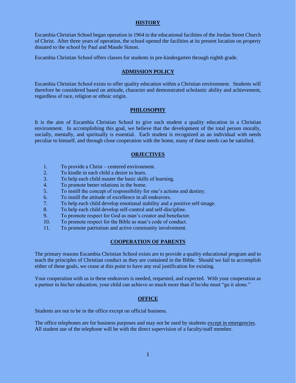#### **HISTORY**

Escambia Christian School began operation in 1964 in the educational facilities of the Jordan Street Church of Christ. After three years of operation, the school opened the facilities at its present location on property donated to the school by Paul and Maude Simon.

Escambia Christian School offers classes for students in pre-kindergarten through eighth grade.

#### **ADMISSION POLICY**

Escambia Christian School exists to offer quality education within a Christian environment. Students will therefore be considered based on attitude, character and demonstrated scholastic ability and achievement, regardless of race, religion or ethnic origin.

#### **PHILOSOPHY**

It is the aim of Escambia Christian School to give each student a quality education in a Christian environment. In accomplishing this goal, we believe that the development of the total person morally, socially, mentally, and spiritually is essential. Each student is recognized as an individual with needs peculiar to himself, and through close cooperation with the home, many of these needs can be satisfied.

#### **OBJECTIVES**

- 1. To provide a Christ centered environment.
- 2. To kindle in each child a desire to learn.
- 3. To help each child master the basic skills of learning.
- 4. To promote better relations in the home.
- 5. To instill the concept of responsibility for one's actions and destiny.
- 6. To instill the attitude of excellence in all endeavors.
- 7. To help each child develop emotional stability and a positive self-image.
- 8. To help each child develop self-control and self-discipline.
- 9. To promote respect for God as man's creator and benefactor.
- 10. To promote respect for the Bible as man's code of conduct.
- 11. To promote patriotism and active community involvement.

#### **COOPERATION OF PARENTS**

The primary reasons Escambia Christian School exists are to provide a quality educational program and to teach the principles of Christian conduct as they are contained in the Bible. Should we fail to accomplish either of these goals, we cease at this point to have any real justification for existing.

Your cooperation with us in these endeavors is needed, requested, and expected. With your cooperation as a partner in his/her education, your child can achieve so much more than if he/she must "go it alone."

#### **OFFICE**

Students are not to be in the office except on official business.

The office telephones are for business purposes and may not be used by students except in emergencies. All student use of the telephone will be with the direct supervision of a faculty/staff member.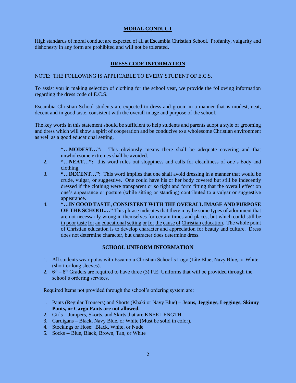#### **MORAL CONDUCT**

High standards of moral conduct are expected of all at Escambia Christian School. Profanity, vulgarity and dishonesty in any form are prohibited and will not be tolerated.

#### **DRESS CODE INFORMATION**

#### NOTE: THE FOLLOWING IS APPLICABLE TO EVERY STUDENT OF E.C.S.

To assist you in making selection of clothing for the school year, we provide the following information regarding the dress code of E.C.S.

Escambia Christian School students are expected to dress and groom in a manner that is modest, neat, decent and in good taste, consistent with the overall image and purpose of the school.

The key words in this statement should be sufficient to help students and parents adopt a style of grooming and dress which will show a spirit of cooperation and be conducive to a wholesome Christian environment as well as a good educational setting.

- 1. **"…MODEST…":** This obviously means there shall be adequate covering and that unwholesome extremes shall be avoided.
- 2. **"…NEAT…":** this word rules out sloppiness and calls for cleanliness of one's body and clothing.
- 3. **"…DECENT…":** This word implies that one shall avoid dressing in a manner that would be crude, vulgar, or suggestive. One could have his or her body covered but still be indecently dressed if the clothing were transparent or so tight and form fitting that the overall effect on one's appearance or posture (while sitting or standing) contributed to a vulgar or suggestive appearance.
- 4. **"…IN GOOD TASTE, CONSISTENT WITH THE OVERALL IMAGE AND PURPOSE OF THE SCHOOL…"** This phrase indicates that there may be some types of adornment that are not necessarily wrong in themselves for certain times and places, but which could still be in poor taste for an educational setting or for the cause of Christian education. The whole point of Christian education is to develop character and appreciation for beauty and culture. Dress does not determine character, but character does determine dress.

#### **SCHOOL UNIFORM INFORMATION**

- 1. All students wear polos with Escambia Christian School's Logo (Lite Blue, Navy Blue, or White (short or long sleeves).
- 2.  $6<sup>th</sup> 8<sup>th</sup>$  Graders are required to have three (3) P.E. Uniforms that will be provided through the school's ordering services.

Required Items not provided through the school's ordering system are:

- 1. Pants (Regular Trousers) and Shorts (Khaki or Navy Blue) **Jeans, Jeggings, Leggings, Skinny Pants, or Cargo Pants are not allowed.**
- 2. Girls Jumpers, Skorts, and Skirts that are KNEE LENGTH.
- 3. Cardigans Black, Navy Blue, or White (Must be solid in color).
- 4. Stockings or Hose: Black, White, or Nude
- 5. Socks -- Blue, Black, Brown, Tan, or White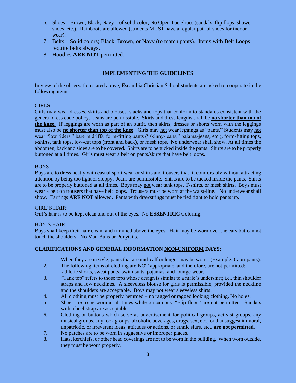- 6. Shoes Brown, Black, Navy of solid color; No Open Toe Shoes (sandals, flip flops, shower shoes, etc.). Rainboots are allowed (students MUST have a regular pair of shoes for indoor wear).
- 7. Belts Solid colors; Black, Brown, or Navy (to match pants). Items with Belt Loops require belts always.
- 8. Hoodies **ARE NOT** permitted.

#### **IMPLEMENTING THE GUIDELINES**

In view of the observation stated above, Escambia Christian School students are asked to cooperate in the following items:

#### GIRLS:

Girls may wear dresses, skirts and blouses, slacks and tops that conform to standards consistent with the general dress code policy. Jeans are permissible. Skirts and dress lengths shall be **no shorter than top of the knee.** If leggings are worn as part of an outfit, then skirts, dresses or shorts worn with the leggings must also be **no shorter than top of the knee**. Girls may not wear leggings as "pants." Students may not wear "low riders," bare midriffs, form-fitting pants ("skinny-jeans," pajama-jeans, etc.), form-fitting tops, t-shirts, tank tops, low-cut tops (front and back), or mesh tops. No underwear shall show. At all times the abdomen, back and sides are to be covered. Shirts are to be tucked inside the pants. Shirts are to be properly buttoned at all times. Girls must wear a belt on pants/skirts that have belt loops.

#### BOYS:

Boys are to dress neatly with casual sport wear or shirts and trousers that fit comfortably without attracting attention by being too tight or sloppy. Jeans are permissible. Shirts are to be tucked inside the pants. Shirts are to be properly buttoned at all times. Boys may not wear tank tops, T-shirts, or mesh shirts. Boys must wear a belt on trousers that have belt loops. Trousers must be worn at the waist-line. No underwear shall show. Earrings **ARE NOT** allowed. Pants with drawstrings must be tied tight to hold pants up.

#### GIRL'S HAIR:

Girl's hair is to be kept clean and out of the eyes. No **ESSENTRIC** Coloring.

#### BOY'S HAIR:

Boys shall keep their hair clean, and trimmed above the eyes. Hair may be worn over the ears but cannot touch the shoulders. No Man Buns or Ponytails.

#### **CLARIFICATIONS AND GENERAL INFORMATION NON-UNIFORM DAYS:**

- 1. When they are in style, pants that are mid-calf or longer may be worn. (Example: Capri pants).
- 2. The following items of clothing are NOT appropriate, and therefore, are not permitted: athletic shorts, sweat pants, swim suits, pajamas, and lounge-wear.
- 3. "Tank top" refers to those tops whose design is similar to a male's undershirt; i.e., thin shoulder straps and low necklines. A sleeveless blouse for girls is permissible, provided the neckline and the shoulders are acceptable. Boys may not wear sleeveless shirts.
- 4. All clothing must be properly hemmed no ragged or ragged looking clothing. No holes.
- 5. Shoes are to be worn at all times while on campus. "Flip-flops" are not permitted. Sandals with a heel strap are acceptable.
- 6. Clothing or buttons which serve as advertisement for political groups, activist groups, any musical groups, any rock groups, alcoholic beverages, drugs, sex, etc., or that suggest immoral, unpatriotic, or irreverent ideas, attitudes or actions, or ethnic slurs, etc., **are not permitted**.
- 7. No patches are to be worn in suggestive or improper places.
- 8. Hats, kerchiefs, or other head coverings are not to be worn in the building. When worn outside, they must be worn properly.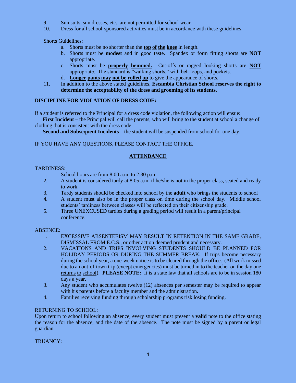- 9. Sun suits, sun dresses, etc., are not permitted for school wear.
- 10. Dress for all school-sponsored activities must be in accordance with these guidelines.

Shorts Guidelines:

- a. Shorts must be no shorter than the **top of the knee** in length.
- b. Shorts must be **modest** and in good taste. Spandex or form fitting shorts are **NOT** appropriate.
- c. Shorts must be **properly hemmed.** Cut-offs or ragged looking shorts are **NOT** appropriate. The standard is "walking shorts," with belt loops, and pockets.
- d. **Longer pants may not be rolled up** to give the appearance of shorts.
- 11. In addition to the above stated guidelines, **Escambia Christian School reserves the right to determine the acceptability of the dress and grooming of its students.**

#### **DISCIPLINE FOR VIOLATION OF DRESS CODE:**

If a student is referred to the Principal for a dress code violation, the following action will ensue:

 **First Incident** – the Principal will call the parents, who will bring to the student at school a change of clothing that is consistent with the dress code.

**Second and Subsequent Incidents** – the student will be suspended from school for one day.

#### IF YOU HAVE ANY QUESTIONS, PLEASE CONTACT THE OFFICE.

#### **ATTENDANCE**

#### TARDINESS:

- 1. School hours are from 8:00 a.m. to 2:30 p.m.
- 2. A student is considered tardy at 8:05 a.m. if he/she is not in the proper class, seated and ready to work.
- 3. Tardy students should be checked into school by the **adult** who brings the students to school
- 4. A student must also be in the proper class on time during the school day. Middle school students' tardiness between classes will be reflected on their citizenship grade.
- 5. Three UNEXCUSED tardies during a grading period will result in a parent/principal conference.

#### ABSENCE:

- 1. EXCESSIVE ABSENTEEISM MAY RESULT IN RETENTION IN THE SAME GRADE, DISMISSAL FROM E.C.S., or other action deemed prudent and necessary.
- 2. VACATIONS AND TRIPS INVOLVING STUDENTS SHOULD BE PLANNED FOR HOLIDAY PERIODS OR DURING THE SUMMER BREAK. If trips become necessary during the school year, a one-week notice is to be cleared through the office. (All work missed due to an out-of-town trip (except emergencies) must be turned in to the teacher on the day one returns to school). **PLEASE NOTE:** It is a state law that all schools are to be in session 180 days a year.
- 3. Any student who accumulates twelve (12) absences per semester may be required to appear with his parents before a faculty member and the administration.
- 4. Families receiving funding through scholarship programs risk losing funding.

#### RETURNING TO SCHOOL:

Upon return to school following an absence, every student must present a **valid** note to the office stating the reason for the absence, and the date of the absence. The note must be signed by a parent or legal guardian.

TRUANCY: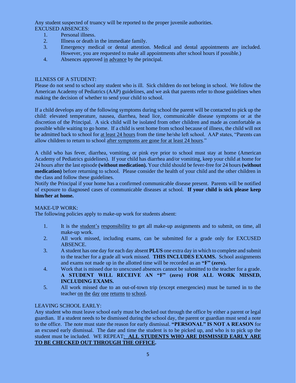Any student suspected of truancy will be reported to the proper juvenile authorities. EXCUSED ABSENCES:

- 1. Personal illness.
- 2. Illness or death in the immediate family.
- 3. Emergency medical or dental attention. Medical and dental appointments are included. However, you are requested to make all appointments after school hours if possible.)
- 4. Absences approved in advance by the principal.

#### ILLNESS OF A STUDENT:

Please do not send to school any student who is ill. Sick children do not belong in school. We follow the American Academy of Pediatrics (AAP) guidelines, and we ask that parents refer to those guidelines when making the decision of whether to send your child to school.

If a child develops any of the following symptoms during school the parent will be contacted to pick up the child: elevated temperature, nausea, diarrhea, head lice, communicable disease symptoms or at the discretion of the Principal. A sick child will be isolated from other children and made as comfortable as possible while waiting to go home. If a child is sent home from school because of illness, the child will not be admitted back to school for at least 24 hours from the time he/she left school. AAP states, "Parents can allow children to return to school after symptoms are gone for at least 24 hours."

A child who has fever, diarrhea, vomiting, or pink eye prior to school must stay at home (American Academy of Pediatrics guidelines). If your child has diarrhea and/or vomiting, keep your child at home for 24 hours after the last episode **(without medication).** Your child should be fever-free for 24 hours **(without medication)** before returning to school. Please consider the health of your child and the other children in the class and follow these guidelines.

Notify the Principal if your home has a confirmed communicable disease present. Parents will be notified of exposure to diagnosed cases of communicable diseases at school. **If your child is sick please keep him/her at home.**

#### MAKE-UP WORK:

The following policies apply to make-up work for students absent:

- 1. It is the student's responsibility to get all make-up assignments and to submit, on time, all make-up work.
- 2. All work missed, including exams, can be submitted for a grade only for EXCUSED ABSENCE.
- 3. A student has one day for each day absent **PLUS** one extra day in which to complete and submit to the teacher for a grade all work missed. **THIS INCLUDES EXAMS.** School assignments and exams not made up in the allotted time will be recorded as an **"F" (zero).**
- 4. Work that is missed due to unexcused absences cannot be submitted to the teacher for a grade. **A STUDENT WILL RECEIVE AN "F" (zero) FOR ALL WORK MISSED, INCLUDING EXAMS.**
- 5. All work missed due to an out-of-town trip (except emergencies) must be turned in to the teacher on the day one returns to school.

#### LEAVING SCHOOL EARLY:

Any student who must leave school early must be checked out through the office by either a parent or legal guardian. If a student needs to be dismissed during the school day, the parent or guardian must send a note to the office. The note must state the reason for early dismissal. **"PERSONAL" IS NOT A REASON** for an excused early dismissal. The date and time the student is to be picked up, and who is to pick up the student must be included. WE REPEAT: **ALL STUDENTS WHO ARE DISMISSED EARLY ARE TO BE CHECKED OUT THROUGH THE OFFICE.**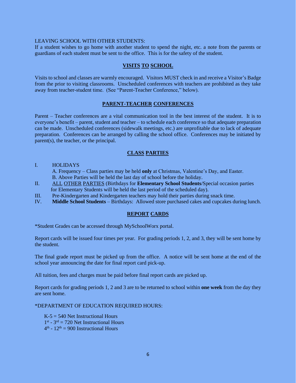#### LEAVING SCHOOL WITH OTHER STUDENTS:

If a student wishes to go home with another student to spend the night, etc. a note from the parents or guardians of each student must be sent to the office. This is for the safety of the student.

#### **VISITS TO SCHOOL**

Visits to school and classes are warmly encouraged. Visitors MUST check in and receive a Visitor's Badge from the prior to visiting classrooms. Unscheduled conferences with teachers are prohibited as they take away from teacher-student time. (See "Parent-Teacher Conference," below).

#### **PARENT-TEACHER CONFERENCES**

Parent – Teacher conferences are a vital communication tool in the best interest of the student. It is to everyone's benefit – parent, student and teacher – to schedule each conference so that adequate preparation can be made. Unscheduled conferences (sidewalk meetings, etc.) are unprofitable due to lack of adequate preparation. Conferences can be arranged by calling the school office. Conferences may be initiated by parent(s), the teacher, or the principal.

#### **CLASS PARTIES**

#### I. HOLIDAYS

 A. Frequency – Class parties may be held **only** at Christmas, Valentine's Day, and Easter. B. Above Parties will be held the last day of school before the holiday.

- II. ALL OTHER PARTIES (Birthdays for **Elementary School Students**/Special occasion parties for Elementary Students will be held the last period of the scheduled day).
- III. Pre-Kindergarten and Kindergarten teachers may hold their parties during snack time.
- IV. **Middle School Students** Birthdays: Allowed store purchased cakes and cupcakes during lunch.

#### **REPORT CARDS**

\*Student Grades can be accessed through MySchoolWorx portal.

Report cards will be issued four times per year. For grading periods 1, 2, and 3, they will be sent home by the student.

The final grade report must be picked up from the office. A notice will be sent home at the end of the school year announcing the date for final report card pick-up.

All tuition, fees and charges must be paid before final report cards are picked up.

Report cards for grading periods 1, 2 and 3 are to be returned to school within **one week** from the day they are sent home.

\*DEPARTMENT OF EDUCATION REQUIRED HOURS:

 $K-5 = 540$  Net Instructional Hours  $1<sup>st</sup> - 3<sup>rd</sup> = 720$  Net Instructional Hours  $4<sup>th</sup> - 12<sup>th</sup> = 900$  Instructional Hours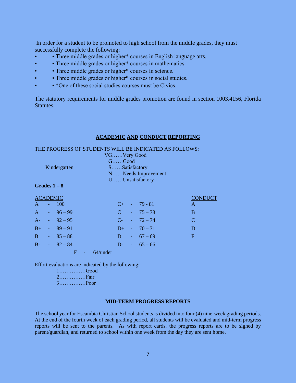In order for a student to be promoted to high school from the middle grades, they must successfully complete the following:

- Three middle grades or higher\* courses in English language arts.
- • Three middle grades or higher\* courses in mathematics.
- Three middle grades or higher\* courses in science.
- Three middle grades or higher\* courses in social studies.
- • \*One of these social studies courses must be Civics.

The statutory requirements for middle grades promotion are found in section 1003.4156, Florida Statutes.

#### **ACADEMIC AND CONDUCT REPORTING**

#### THE PROGRESS OF STUDENTS WILL BE INDICATED AS FOLLOWS:

|              | VGVery Good        |
|--------------|--------------------|
|              | $G.\dots Good$     |
| Kindergarten | SSatisfactory      |
|              | NNeeds Improvement |
|              | UUnsatisfactory    |

#### **Grades 1 – 8**

| <b>ACADEMIC</b> |                   |  |                   | CONDUCT                     |
|-----------------|-------------------|--|-------------------|-----------------------------|
| $A+$            | $-100$            |  | $C_{+}$ - 79 - 81 | A                           |
|                 | $A = 96-99$       |  | $C = 75 - 78$     | <sub>B</sub>                |
| $A -$           | $-92-95$          |  | $C_{7}$ - $72-74$ | $\mathcal{C}_{\mathcal{C}}$ |
|                 | $B_{+}$ - 89 - 91 |  | $D_{+}$ - $70-71$ | D                           |
|                 | $B = 85 - 88$     |  | D $-67-69$        | F                           |
|                 | $B - 82 - 84$     |  | D- $-65-66$       |                             |
|                 |                   |  |                   |                             |

F - 64/under

Effort evaluations are indicated by the following:

1……………Good 2……………Fair 3……………Poor

#### **MID-TERM PROGRESS REPORTS**

The school year for Escambia Christian School students is divided into four (4) nine-week grading periods. At the end of the fourth week of each grading period, all students will be evaluated and mid-term progress reports will be sent to the parents. As with report cards, the progress reports are to be signed by parent/guardian, and returned to school within one week from the day they are sent home.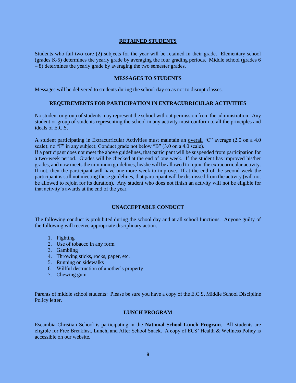#### **RETAINED STUDENTS**

Students who fail two core (2) subjects for the year will be retained in their grade. Elementary school (grades K-5) determines the yearly grade by averaging the four grading periods. Middle school (grades 6 – 8) determines the yearly grade by averaging the two semester grades.

#### **MESSAGES TO STUDENTS**

Messages will be delivered to students during the school day so as not to disrupt classes.

#### **REQUIREMENTS FOR PARTICIPATION IN EXTRACURRICULAR ACTIVITIES**

No student or group of students may represent the school without permission from the administration. Any student or group of students representing the school in any activity must conform to all the principles and ideals of E.C.S.

A student participating in Extracurricular Activities must maintain an overall "C" average (2.0 on a 4.0 scale); no "F" in any subject; Conduct grade not below "B" (3.0 on a 4.0 scale).

If a participant does not meet the above guidelines, that participant will be suspended from participation for a two-week period. Grades will be checked at the end of one week. If the student has improved his/her grades, and now meets the minimum guidelines, he/she will be allowed to rejoin the extracurricular activity. If not, then the participant will have one more week to improve. If at the end of the second week the participant is still not meeting these guidelines, that participant will be dismissed from the activity (will not be allowed to rejoin for its duration). Any student who does not finish an activity will not be eligible for that activity's awards at the end of the year.

#### **UNACCEPTABLE CONDUCT**

The following conduct is prohibited during the school day and at all school functions. Anyone guilty of the following will receive appropriate disciplinary action.

- 1. Fighting
- 2. Use of tobacco in any form
- 3. Gambling
- 4. Throwing sticks, rocks, paper, etc.
- 5. Running on sidewalks
- 6. Willful destruction of another's property
- 7. Chewing gum

Parents of middle school students: Please be sure you have a copy of the E.C.S. Middle School Discipline Policy letter.

#### **LUNCH PROGRAM**

Escambia Christian School is participating in the **National School Lunch Program**. All students are eligible for Free Breakfast, Lunch, and After School Snack. A copy of ECS' Health & Wellness Policy is accessible on our website.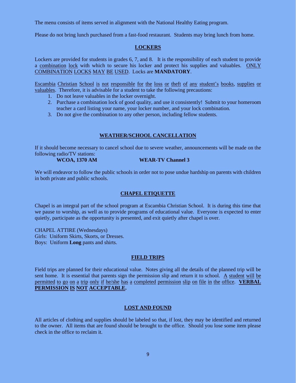The menu consists of items served in alignment with the National Healthy Eating program.

Please do not bring lunch purchased from a fast-food restaurant. Students may bring lunch from home.

#### **LOCKERS**

Lockers are provided for students in grades 6, 7, and 8. It is the responsibility of each student to provide a combination lock with which to secure his locker and protect his supplies and valuables. ONLY COMBINATION LOCKS MAY BE USED. Locks are **MANDATORY**.

Escambia Christian School is not responsible for the loss or theft of any student's books, supplies or valuables. Therefore, it is advisable for a student to take the following precautions:

- 1. Do not leave valuables in the locker overnight.
- 2. Purchase a combination lock of good quality, and use it consistently! Submit to your homeroom teacher a card listing your name, your locker number, and your lock combination.
- 3. Do not give the combination to any other person, including fellow students.

#### **WEATHER/SCHOOL CANCELLATION**

If it should become necessary to cancel school due to severe weather, announcements will be made on the following radio/TV stations:

**WCOA, 1370 AM WEAR-TV Channel 3**

We will endeavor to follow the public schools in order not to pose undue hardship on parents with children in both private and public schools.

#### **CHAPEL ETIQUETTE**

Chapel is an integral part of the school program at Escambia Christian School. It is during this time that we pause to worship, as well as to provide programs of educational value. Everyone is expected to enter quietly, participate as the opportunity is presented, and exit quietly after chapel is over.

CHAPEL ATTIRE (Wednesdays) Girls: Uniform Skirts, Skorts, or Dresses. Boys: Uniform **Long** pants and shirts.

#### **FIELD TRIPS**

Field trips are planned for their educational value. Notes giving all the details of the planned trip will be sent home. It is essential that parents sign the permission slip and return it to school. A student will be permitted to go on a trip only if he/she has a completed permission slip on file in the office. **VERBAL PERMISSION IS NOT ACCEPTABLE.**

#### **LOST AND FOUND**

All articles of clothing and supplies should be labeled so that, if lost, they may be identified and returned to the owner. All items that are found should be brought to the office. Should you lose some item please check in the office to reclaim it.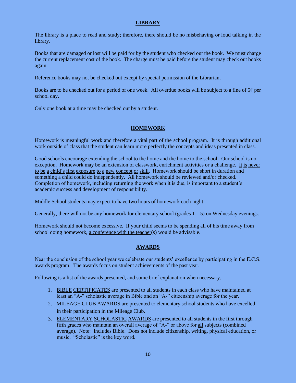#### **LIBRARY**

The library is a place to read and study; therefore, there should be no misbehaving or loud talking in the library.

Books that are damaged or lost will be paid for by the student who checked out the book. We must charge the current replacement cost of the book. The charge must be paid before the student may check out books again.

Reference books may not be checked out except by special permission of the Librarian.

Books are to be checked out for a period of one week. All overdue books will be subject to a fine of  $5¢$  per school day.

Only one book at a time may be checked out by a student.

#### **HOMEWORK**

Homework is meaningful work and therefore a vital part of the school program. It is through additional work outside of class that the student can learn more perfectly the concepts and ideas presented in class.

Good schools encourage extending the school to the home and the home to the school. Our school is no exception. Homework may be an extension of classwork, enrichment activities or a challenge. It is never to be a child's first exposure to a new concept or skill. Homework should be short in duration and something a child could do independently. All homework should be reviewed and/or checked. Completion of homework, including returning the work when it is due, is important to a student's academic success and development of responsibility.

Middle School students may expect to have two hours of homework each night.

Generally, there will not be any homework for elementary school (grades  $1 - 5$ ) on Wednesday evenings.

Homework should not become excessive. If your child seems to be spending all of his time away from school doing homework, a conference with the teacher(s) would be advisable.

#### **AWARDS**

Near the conclusion of the school year we celebrate our students' excellence by participating in the E.C.S. awards program. The awards focus on student achievements of the past year.

Following is a list of the awards presented, and some brief explanation when necessary.

- 1. BIBLE CERTIFICATES are presented to all students in each class who have maintained at least an "A-" scholastic average in Bible and an "A-" citizenship average for the year.
- 2. MILEAGE CLUB AWARDS are presented to elementary school students who have excelled in their participation in the Mileage Club.
- 3. ELEMENTARY SCHOLASTIC AWARDS are presented to all students in the first through fifth grades who maintain an overall average of "A-" or above for all subjects (combined average). Note: Includes Bible. Does not include citizenship, writing, physical education, or music. "Scholastic" is the key word.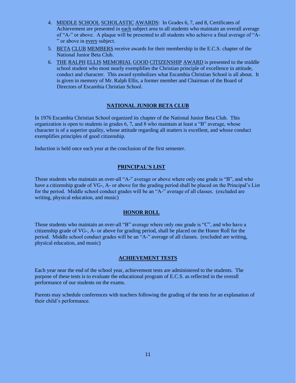- 4. MIDDLE SCHOOL SCHOLASTIC AWARDS: In Grades 6, 7, and 8, Certificates of Achievement are presented in each subject area to all students who maintain an overall average of "A-" or above. A plaque will be presented to all students who achieve a final average of "A- " or above in every subject.
- 5. BETA CLUB MEMBERS receive awards for their membership in the E.C.S. chapter of the National Junior Beta Club.
- 6. THE RALPH ELLIS MEMORIAL GOOD CITIZENSHIP AWARD is presented to the middle school student who most nearly exemplifies the Christian principle of excellence in attitude, conduct and character. This award symbolizes what Escambia Christian School is all about. It is given in memory of Mr. Ralph Ellis, a former member and Chairman of the Board of Directors of Escambia Christian School.

#### **NATIONAL JUNIOR BETA CLUB**

In 1976 Escambia Christian School organized its chapter of the National Junior Beta Club. This organization is open to students in grades 6, 7, and 8 who maintain at least a "B" average, whose character is of a superior quality, whose attitude regarding all matters is excellent, and whose conduct exemplifies principles of good citizenship.

Induction is held once each year at the conclusion of the first semester.

#### **PRINCIPAL'S LIST**

Those students who maintain an over-all "A-" average or above where only one grade is "B", and who have a citizenship grade of VG-, A- or above for the grading period shall be placed on the Principal's List for the period. Middle school conduct grades will be an "A-" average of all classes. (excluded are writing, physical education, and music)

#### **HONOR ROLL**

Those students who maintain an over-all "B" average where only one grade is "C", and who have a citizenship grade of VG-, A- or above for grading period, shall be placed on the Honor Roll for the period. Middle school conduct grades will be an "A-" average of all classes. (excluded are writing, physical education, and music)

#### **ACHIEVEMENT TESTS**

Each year near the end of the school year, achievement tests are administered to the students. The purpose of these tests is to evaluate the educational program of E.C.S. as reflected in the overall performance of our students on the exams.

Parents may schedule conferences with teachers following the grading of the tests for an explanation of their child's performance.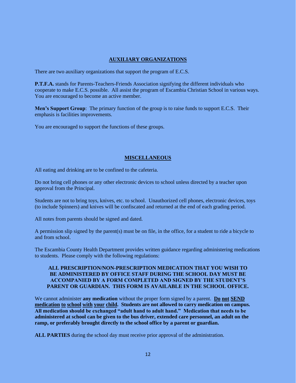#### **AUXILIARY ORGANIZATIONS**

There are two auxiliary organizations that support the program of E.C.S.

**P.T.F.A.** stands for Parents-Teachers-Friends Association signifying the different individuals who cooperate to make E.C.S. possible. All assist the program of Escambia Christian School in various ways. You are encouraged to become an active member.

**Men's Support Group**: The primary function of the group is to raise funds to support E.C.S. Their emphasis is facilities improvements.

You are encouraged to support the functions of these groups.

#### **MISCELLANEOUS**

All eating and drinking are to be confined to the cafeteria.

Do not bring cell phones or any other electronic devices to school unless directed by a teacher upon approval from the Principal.

Students are not to bring toys, knives, etc. to school. Unauthorized cell phones, electronic devices, toys (to include Spinners) and knives will be confiscated and returned at the end of each grading period.

All notes from parents should be signed and dated.

A permission slip signed by the parent(s) must be on file, in the office, for a student to ride a bicycle to and from school.

The Escambia County Health Department provides written guidance regarding administering medications to students. Please comply with the following regulations:

#### **ALL PRESCRIPTION/NON-PRESCRIPTION MEDICATION THAT YOU WISH TO BE ADMINISTERED BY OFFICE STAFF DURING THE SCHOOL DAY MUST BE ACCOMPANIED BY A FORM COMPLETED AND SIGNED BY THE STUDENT'S PARENT OR GUARDIAN. THIS FORM IS AVAILABLE IN THE SCHOOL OFFICE.**

We cannot administer **any medication** without the proper form signed by a parent. **Do not SEND medication to school with your child. Students are not allowed to carry medication on campus. All medication should be exchanged "adult hand to adult hand." Medication that needs to be administered at school can be given to the bus driver, extended care personnel, an adult on the ramp, or preferably brought directly to the school office by a parent or guardian.**

**ALL PARTIES** during the school day must receive prior approval of the administration.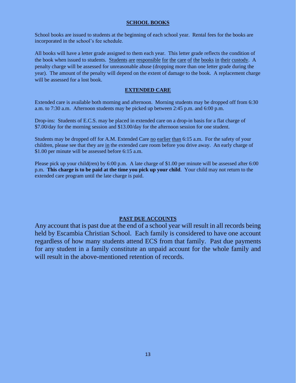#### **SCHOOL BOOKS**

School books are issued to students at the beginning of each school year. Rental fees for the books are incorporated in the school's fee schedule.

All books will have a letter grade assigned to them each year. This letter grade reflects the condition of the book when issued to students. Students are responsible for the care of the books in their custody. A penalty charge will be assessed for unreasonable abuse (dropping more than one letter grade during the year). The amount of the penalty will depend on the extent of damage to the book. A replacement charge will be assessed for a lost book.

#### **EXTENDED CARE**

Extended care is available both morning and afternoon. Morning students may be dropped off from 6:30 a.m. to 7:30 a.m. Afternoon students may be picked up between 2:45 p.m. and 6:00 p.m.

Drop-ins: Students of E.C.S. may be placed in extended care on a drop-in basis for a flat charge of \$7.00/day for the morning session and \$13.00/day for the afternoon session for one student.

Students may be dropped off for A.M. Extended Care no earlier than 6:15 a.m. For the safety of your children, please see that they are in the extended care room before you drive away. An early charge of \$1.00 per minute will be assessed before 6:15 a.m.

Please pick up your child(ren) by 6:00 p.m. A late charge of \$1.00 per minute will be assessed after 6:00 p.m. **This charge is to be paid at the time you pick up your child**. Your child may not return to the extended care program until the late charge is paid.

#### **PAST DUE ACCOUNTS**

Any account that is past due at the end of a school year will result in all records being held by Escambia Christian School. Each family is considered to have one account regardless of how many students attend ECS from that family. Past due payments for any student in a family constitute an unpaid account for the whole family and will result in the above-mentioned retention of records.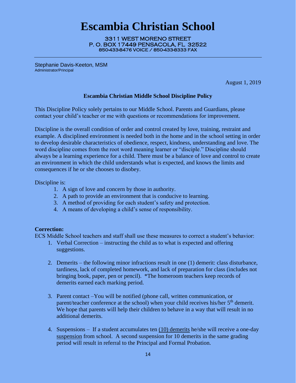# **Escambia Christian School**

3311 WEST MORENO STREET P. O. BOX 17449 PENSACOLA, FL 32522 850-433-8476 VOICE / 850-433-8333 FAX

Stephanie Davis-Keeton, MSM Administrator/Principal

August 1, 2019

#### **Escambia Christian Middle School Discipline Policy**

This Discipline Policy solely pertains to our Middle School. Parents and Guardians, please contact your child's teacher or me with questions or recommendations for improvement.

Discipline is the overall condition of order and control created by love, training, restraint and example. A disciplined environment is needed both in the home and in the school setting in order to develop desirable characteristics of obedience, respect, kindness, understanding and love. The word discipline comes from the root word meaning learner or "disciple." Discipline should always be a learning experience for a child. There must be a balance of love and control to create an environment in which the child understands what is expected, and knows the limits and consequences if he or she chooses to disobey.

Discipline is:

- 1. A sign of love and concern by those in authority.
- 2. A path to provide an environment that is conducive to learning.
- 3. A method of providing for each student's safety and protection.
- 4. A means of developing a child's sense of responsibility.

#### **Correction:**

ECS Middle School teachers and staff shall use these measures to correct a student's behavior:

- 1. Verbal Correction instructing the child as to what is expected and offering suggestions.
- 2. Demerits the following minor infractions result in one (1) demerit: class disturbance, tardiness, lack of completed homework, and lack of preparation for class (includes not bringing book, paper, pen or pencil). \*The homeroom teachers keep records of demerits earned each marking period.
- 3. Parent contact –You will be notified (phone call, written communication, or parent/teacher conference at the school) when your child receives his/her 5<sup>th</sup> demerit. We hope that parents will help their children to behave in a way that will result in no additional demerits.
- 4. Suspensions If a student accumulates ten (10) demerits he/she will receive a one-day suspension from school. A second suspension for 10 demerits in the same grading period will result in referral to the Principal and Formal Probation.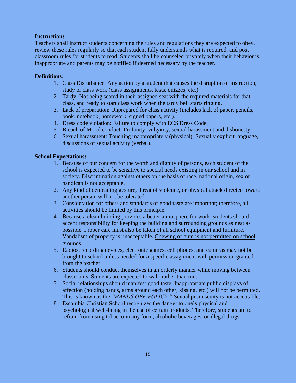#### **Instruction:**

Teachers shall instruct students concerning the rules and regulations they are expected to obey, review these rules regularly so that each student fully understands what is required, and post classroom rules for students to read. Students shall be counseled privately when their behavior is inappropriate and parents may be notified if deemed necessary by the teacher.

#### **Definitions:**

- 1. Class Disturbance: Any action by a student that causes the disruption of instruction, study or class work (class assignments, tests, quizzes, etc.).
- 2. Tardy: Not being seated in their assigned seat with the required materials for that class, and ready to start class work when the tardy bell starts ringing.
- 3. Lack of preparation: Unprepared for class activity (includes lack of paper, pencils, book, notebook, homework, signed papers, etc.).
- 4. Dress code violation: Failure to comply with ECS Dress Code.
- 5. Breach of Moral conduct: Profanity, vulgarity, sexual harassment and dishonesty.
- 6. Sexual harassment: Touching inappropriately (physical); Sexually explicit language, discussions of sexual activity (verbal).

#### **School Expectations:**

- 1. Because of our concern for the worth and dignity of persons, each student of the school is expected to be sensitive to special needs existing in our school and in society. Discrimination against others on the basis of race, national origin, sex or handicap is not acceptable.
- 2. Any kind of demeaning gesture, threat of violence, or physical attack directed toward another person will not be tolerated.
- 3. Consideration for others and standards of good taste are important; therefore, all activities should be limited by this principle.
- 4. Because a clean building provides a better atmosphere for work, students should accept responsibility for keeping the building and surrounding grounds as neat as possible. Proper care must also be taken of all school equipment and furniture. Vandalism of property is unacceptable. Chewing of gum is not permitted on school grounds.
- 5. Radios, recording devices, electronic games, cell phones, and cameras may not be brought to school unless needed for a specific assignment with permission granted from the teacher.
- 6. Students should conduct themselves in an orderly manner while moving between classrooms. Students are expected to walk rather than run.
- 7. Social relationships should manifest good taste. Inappropriate public displays of affection (holding hands, arms around each other, kissing, etc.) will not be permitted. This is known as the *"HANDS OFF POLICY."* Sexual promiscuity is not acceptable.
- 8. Escambia Christian School recognizes the danger to one's physical and psychological well-being in the use of certain products. Therefore, students are to refrain from using tobacco in any form, alcoholic beverages, or illegal drugs.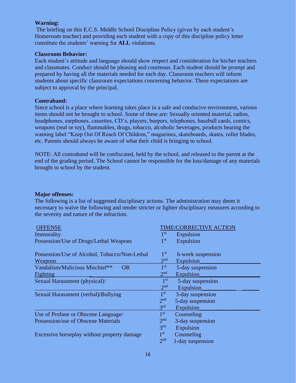#### **Warning:**

The briefing on this E.C.S. Middle School Discipline Policy (given by each student's Homeroom teacher) and providing each student with a copy of this discipline policy letter constitute the students' warning for **ALL** violations.

#### **Classroom Behavior:**

Each student's attitude and language should show respect and consideration for his/her teachers and classmates. Conduct should be pleasing and courteous. Each student should be prompt and prepared by having all the materials needed for each day. Classroom teachers will inform students about specific classroom expectations concerning behavior. These expectations are subject to approval by the principal.

#### **Contraband:**

Since school is a place where learning takes place in a safe and conducive environment, various items should not be brought to school. Some of these are: Sexually oriented material, radios, headphones, earphones, cassettes, CD's, players, beepers, telephones, baseball cards, comics, weapons (real or toy), flammables, drugs, tobacco, alcoholic beverages, products bearing the warning label "Keep Out Of Reach Of Children," magazines, skateboards, skates, roller blades, etc. Parents should always be aware of what their child is bringing to school.

NOTE: All contraband will be confiscated, held by the school, and released to the parent at the end of the grading period. The School cannot be responsible for the loss/damage of any materials brought to school by the student.

#### **Major offenses:**

The following is a list of suggested disciplinary actions. The administration may deem it necessary to waive the following and render stricter or lighter disciplinary measures according to the severity and nature of the infraction.

| <b>OFFENSE</b>                                |                 | <b>TIME/CORRECTIVE ACTION</b> |
|-----------------------------------------------|-----------------|-------------------------------|
| Immorality                                    | 1 <sup>st</sup> | Expulsion                     |
| Possession/Use of Drugs/Lethal Weapons        | 1 <sup>st</sup> | Expulsion                     |
|                                               |                 |                               |
| Possession/Use of Alcohol, Tobacco/Non-Lethal | 1 <sup>st</sup> | 6-week suspension             |
| <b>Weapons</b>                                | 2 <sup>nd</sup> | Expulsion                     |
| Vandalism/Malicious Mischief**<br><b>OR</b>   | 1 <sup>st</sup> | 5-day suspension              |
| Fighting                                      | 2 <sup>nd</sup> | <b>Expulsion</b>              |
| Sexual Harassment (physical)/                 | 1 <sup>st</sup> | 5-day suspension              |
|                                               | 2 <sup>nd</sup> | <b>Expulsion</b>              |
| Sexual Harassment (verbal)/Bullying           | 1 <sup>st</sup> | 3-day suspension              |
|                                               | 2 <sup>nd</sup> | 5-day suspension              |
|                                               | 3 <sup>rd</sup> | Expulsion                     |
| Use of Profane or Obscene Language/           | 1 <sup>st</sup> | Counseling                    |
| Possession/use of Obscene Materials           | 2 <sup>nd</sup> | 3-day suspension              |
|                                               | 3 <sup>rd</sup> | Expulsion                     |
| Excessive horseplay without property damage   | 1 <sup>st</sup> | Counseling                    |
|                                               | 2 <sub>nd</sub> | 1-day suspension              |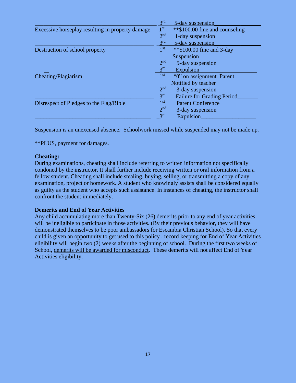|                                                  | 3 <sup>rd</sup> | 5-day suspension                  |
|--------------------------------------------------|-----------------|-----------------------------------|
| Excessive horseplay resulting in property damage | 1 <sup>st</sup> | **\$100.00 fine and counseling    |
|                                                  | 2 <sup>nd</sup> | 1-day suspension                  |
|                                                  | 3 <sup>rd</sup> | 5-day suspension                  |
| Destruction of school property                   | 1 <sup>st</sup> | ** \$100.00 fine and 3-day        |
|                                                  |                 | Suspension                        |
|                                                  | 2 <sup>nd</sup> | 5-day suspension                  |
|                                                  | 3 <sup>rd</sup> | <b>Expulsion</b>                  |
| Cheating/Plagiarism                              | 1 <sup>st</sup> | "0" on assignment. Parent         |
|                                                  |                 | Notified by teacher               |
|                                                  | 2 <sup>nd</sup> | 3-day suspension                  |
|                                                  | 3 <sup>rd</sup> | <b>Failure for Grading Period</b> |
| Disrespect of Pledges to the Flag/Bible          | 1 <sup>st</sup> | <b>Parent Conference</b>          |
|                                                  | 2 <sup>nd</sup> | 3-day suspension                  |
|                                                  | 3 <sup>rd</sup> | Expulsion                         |

Suspension is an unexcused absence. Schoolwork missed while suspended may not be made up.

\*\*PLUS, payment for damages.

#### **Cheating:**

During examinations, cheating shall include referring to written information not specifically condoned by the instructor. It shall further include receiving written or oral information from a fellow student. Cheating shall include stealing, buying, selling, or transmitting a copy of any examination, project or homework. A student who knowingly assists shall be considered equally as guilty as the student who accepts such assistance. In instances of cheating, the instructor shall confront the student immediately.

#### **Demerits and End of Year Activities**

Any child accumulating more than Twenty-Six (26) demerits prior to any end of year activities will be ineligible to participate in those activities. (By their previous behavior, they will have demonstrated themselves to be poor ambassadors for Escambia Christian School). So that every child is given an opportunity to get used to this policy , record keeping for End of Year Activities eligibility will begin two (2) weeks after the beginning of school. During the first two weeks of School, demerits will be awarded for misconduct. These demerits will not affect End of Year Activities eligibility.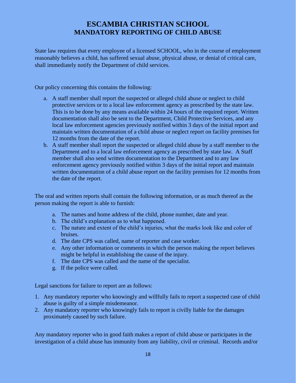# **ESCAMBIA CHRISTIAN SCHOOL MANDATORY REPORTING OF CHILD ABUSE**

State law requires that every employee of a licensed SCHOOL, who in the course of employment reasonably believes a child, has suffered sexual abuse, physical abuse, or denial of critical care, shall immediately notify the Department of child services.

Our policy concerning this contains the following:

- a. A staff member shall report the suspected or alleged child abuse or neglect to child protective services or to a local law enforcement agency as prescribed by the state law. This is to be done by any means available within 24 hours of the required report. Written documentation shall also be sent to the Department, Child Protective Services, and any local law enforcement agencies previously notified within 3 days of the initial report and maintain written documentation of a child abuse or neglect report on facility premises for 12 months from the date of the report.
- b. A staff member shall report the suspected or alleged child abuse by a staff member to the Department and to a local law enforcement agency as prescribed by state law. A Staff member shall also send written documentation to the Department and to any law enforcement agency previously notified within 3 days of the initial report and maintain written documentation of a child abuse report on the facility premises for 12 months from the date of the report.

The oral and written reports shall contain the following information, or as much thereof as the person making the report is able to furnish:

- a. The names and home address of the child, phone number, date and year.
- b. The child's explanation as to what happened.
- c. The nature and extent of the child's injuries, what the marks look like and color of bruises.
- d. The date CPS was called, name of reporter and case worker.
- e. Any other information or comments in which the person making the report believes might be helpful in establishing the cause of the injury.
- f. The date CPS was called and the name of the specialist.
- g. If the police were called.

Legal sanctions for failure to report are as follows:

- 1. Any mandatory reporter who knowingly and willfully fails to report a suspected case of child abuse is guilty of a simple misdemeanor.
- 2. Any mandatory reporter who knowingly fails to report is civilly liable for the damages proximately caused by such failure.

Any mandatory reporter who in good faith makes a report of child abuse or participates in the investigation of a child abuse has immunity from any liability, civil or criminal. Records and/or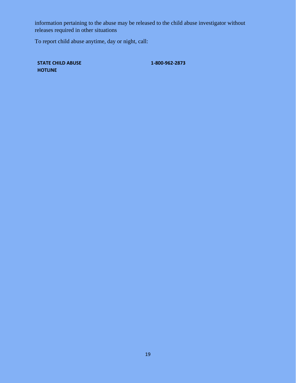information pertaining to the abuse may be released to the child abuse investigator without releases required in other situations

To report child abuse anytime, day or night, call:

**STATE CHILD ABUSE HOTLINE**

**1-800-962-2873**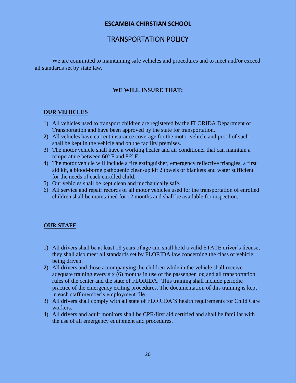#### **ESCAMBIA CHIRSTIAN SCHOOL**

# TRANSPORTATION POLICY

We are committed to maintaining safe vehicles and procedures and to meet and/or exceed all standards set by state law.

#### **WE WILL INSURE THAT:**

#### **OUR VEHICLES**

- 1) All vehicles used to transport children are registered by the FLORIDA Department of Transportation and have been approved by the state for transportation.
- 2) All vehicles have current insurance coverage for the motor vehicle and proof of such shall be kept in the vehicle and on the facility premises.
- 3) The motor vehicle shall have a working heater and air conditioner that can maintain a temperature between 60º F and 86º F.
- 4) The motor vehicle will include a fire extinguisher, emergency reflective triangles, a first aid kit, a blood-borne pathogenic clean-up kit 2 towels or blankets and water sufficient for the needs of each enrolled child.
- 5) Our vehicles shall be kept clean and mechanically safe.
- 6) All service and repair records of all motor vehicles used for the transportation of enrolled children shall be maintained for 12 months and shall be available for inspection.

#### **OUR STAFF**

- 1) All drivers shall be at least 18 years of age and shall hold a valid STATE driver's license; they shall also meet all standards set by FLORIDA law concerning the class of vehicle being driven.
- 2) All drivers and those accompanying the children while in the vehicle shall receive adequate training every six (6) months in use of the passenger log and all transportation rules of the center and the state of FLORIDA. This training shall include periodic practice of the emergency exiting procedures. The documentation of this training is kept in each staff member's employment file.
- 3) All drivers shall comply with all state of FLORIDA'S health requirements for Child Care workers.
- 4) All drivers and adult monitors shall be CPR/first aid certified and shall be familiar with the use of all emergency equipment and procedures.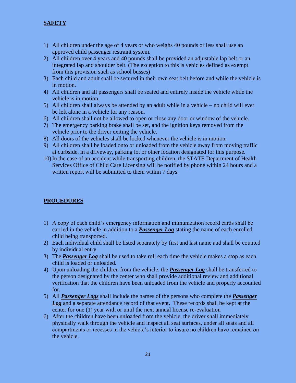#### **SAFETY**

- 1) All children under the age of 4 years or who weighs 40 pounds or less shall use an approved child passenger restraint system.
- 2) All children over 4 years and 40 pounds shall be provided an adjustable lap belt or an integrated lap and shoulder belt. (The exception to this is vehicles defined as exempt from this provision such as school busses)
- 3) Each child and adult shall be secured in their own seat belt before and while the vehicle is in motion.
- 4) All children and all passengers shall be seated and entirely inside the vehicle while the vehicle is in motion.
- 5) All children shall always be attended by an adult while in a vehicle no child will ever be left alone in a vehicle for any reason.
- 6) All children shall not be allowed to open or close any door or window of the vehicle.
- 7) The emergency parking brake shall be set, and the ignition keys removed from the vehicle prior to the driver exiting the vehicle.
- 8) All doors of the vehicles shall be locked whenever the vehicle is in motion.
- 9) All children shall be loaded onto or unloaded from the vehicle away from moving traffic at curbside, in a driveway, parking lot or other location designated for this purpose.
- 10) In the case of an accident while transporting children, the STATE Department of Health Services Office of Child Care Licensing will be notified by phone within 24 hours and a written report will be submitted to them within 7 days.

#### **PROCEDURES**

- 1) A copy of each child's emergency information and immunization record cards shall be carried in the vehicle in addition to a *Passenger Log* stating the name of each enrolled child being transported.
- 2) Each individual child shall be listed separately by first and last name and shall be counted by individual entry.
- 3) The *Passenger Log* shall be used to take roll each time the vehicle makes a stop as each child is loaded or unloaded.
- 4) Upon unloading the children from the vehicle, the *Passenger Log* shall be transferred to the person designated by the center who shall provide additional review and additional verification that the children have been unloaded from the vehicle and properly accounted for.
- 5) All *Passenger Logs* shall include the names of the persons who complete the *Passenger Log* and a separate attendance record of that event. These records shall be kept at the center for one (1) year with or until the next annual license re-evaluation
- 6) After the children have been unloaded from the vehicle, the driver shall immediately physically walk through the vehicle and inspect all seat surfaces, under all seats and all compartments or recesses in the vehicle's interior to insure no children have remained on the vehicle.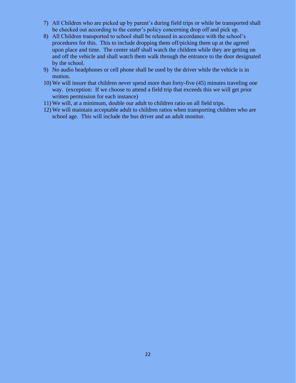- 7) All Children who are picked up by parent's during field trips or while be transported shall be checked out according to the center's policy concerning drop off and pick up.
- 8) All Children transported to school shall be released in accordance with the school's procedures for this. This to include dropping them off/picking them up at the agreed upon place and time. The center staff shall watch the children while they are getting on and off the vehicle and shall watch them walk through the entrance to the door designated by the school.
- 9) No audio headphones or cell phone shall be used by the driver while the vehicle is in motion.
- 10) We will insure that children never spend more than forty-five (45) minutes traveling one way. (exception: If we choose to attend a field trip that exceeds this we will get prior written permission for each instance)
- 11) We will, at a minimum, double our adult to children ratio on all field trips.
- 12) We will maintain acceptable adult to children ratios when transporting children who are school age. This will include the bus driver and an adult monitor.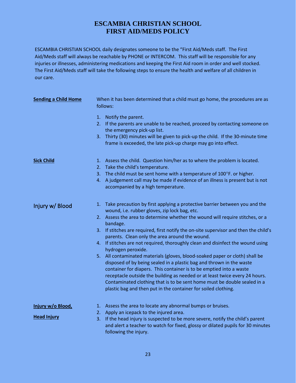# **ESCAMBIA CHRISTIAN SCHOOL FIRST AID/MEDS POLICY**

ESCAMBIA CHRISTIAN SCHOOL daily designates someone to be the "First Aid/Meds staff. The First Aid/Meds staff will always be reachable by PHONE or INTERCOM. This staff will be responsible for any injuries or illnesses, administering medications and keeping the First Aid room in order and well stocked. The First Aid/Meds staff will take the following steps to ensure the health and welfare of all children in our care.

| <b>Sending a Child Home</b>             | When it has been determined that a child must go home, the procedures are as<br>follows:                                                                                                                                                                                                                                                                                                                                                                                                                                                                                                                                                                                                                                                                                                                                                                                                                                                    |  |  |  |  |
|-----------------------------------------|---------------------------------------------------------------------------------------------------------------------------------------------------------------------------------------------------------------------------------------------------------------------------------------------------------------------------------------------------------------------------------------------------------------------------------------------------------------------------------------------------------------------------------------------------------------------------------------------------------------------------------------------------------------------------------------------------------------------------------------------------------------------------------------------------------------------------------------------------------------------------------------------------------------------------------------------|--|--|--|--|
|                                         | Notify the parent.<br>1.<br>2. If the parents are unable to be reached, proceed by contacting someone on<br>the emergency pick-up list.<br>Thirty (30) minutes will be given to pick-up the child. If the 30-minute time<br>3.<br>frame is exceeded, the late pick-up charge may go into effect.                                                                                                                                                                                                                                                                                                                                                                                                                                                                                                                                                                                                                                            |  |  |  |  |
| <b>Sick Child</b>                       | 1. Assess the child. Question him/her as to where the problem is located.<br>Take the child's temperature.<br>2.<br>3. The child must be sent home with a temperature of 100°F. or higher.<br>A judgement call may be made if evidence of an illness is present but is not<br>4.<br>accompanied by a high temperature.                                                                                                                                                                                                                                                                                                                                                                                                                                                                                                                                                                                                                      |  |  |  |  |
| Injury w/ Blood                         | 1. Take precaution by first applying a protective barrier between you and the<br>wound, i.e. rubber gloves, zip lock bag, etc.<br>2. Assess the area to determine whether the wound will require stitches, or a<br>bandage.<br>3. If stitches are required, first notify the on-site supervisor and then the child's<br>parents. Clean only the area around the wound.<br>4. If stitches are not required, thoroughly clean and disinfect the wound using<br>hydrogen peroxide.<br>5. All contaminated materials (gloves, blood-soaked paper or cloth) shall be<br>disposed of by being sealed in a plastic bag and thrown in the waste<br>container for diapers. This container is to be emptied into a waste<br>receptacle outside the building as needed or at least twice every 24 hours.<br>Contaminated clothing that is to be sent home must be double sealed in a<br>plastic bag and then put in the container for soiled clothing. |  |  |  |  |
| Injury w/o Blood,<br><b>Head Injury</b> | 1. Assess the area to locate any abnormal bumps or bruises.<br>2. Apply an icepack to the injured area.<br>3. If the head injury is suspected to be more severe, notify the child's parent<br>and alert a teacher to watch for fixed, glossy or dilated pupils for 30 minutes<br>following the injury.                                                                                                                                                                                                                                                                                                                                                                                                                                                                                                                                                                                                                                      |  |  |  |  |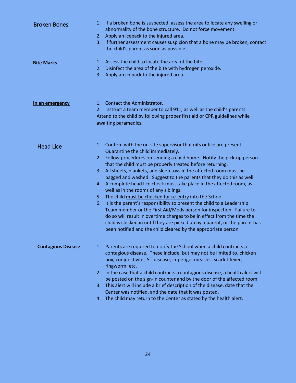| <b>Broken Bones</b>       | If a broken bone is suspected, assess the area to locate any swelling or<br>1.<br>abnormality of the bone structure. Do not force movement.<br>2. Apply an icepack to the injured area.<br>3. If further assessment causes suspicion that a bone may be broken, contact<br>the child's parent as soon as possible.                                                                                                                                                                                                                                                                                                                                                                                                                                                                                                                                                                                                                                                     |
|---------------------------|------------------------------------------------------------------------------------------------------------------------------------------------------------------------------------------------------------------------------------------------------------------------------------------------------------------------------------------------------------------------------------------------------------------------------------------------------------------------------------------------------------------------------------------------------------------------------------------------------------------------------------------------------------------------------------------------------------------------------------------------------------------------------------------------------------------------------------------------------------------------------------------------------------------------------------------------------------------------|
| <b>Bite Marks</b>         | 1. Assess the child to locate the area of the bite.<br>2. Disinfect the area of the bite with hydrogen peroxide.<br>3. Apply an icepack to the injured area.                                                                                                                                                                                                                                                                                                                                                                                                                                                                                                                                                                                                                                                                                                                                                                                                           |
| In an emergency           | 1. Contact the Administrator.<br>2. Instruct a team member to call 911, as well as the child's parents.<br>Attend to the child by following proper first aid or CPR guidelines while<br>awaiting paramedics.                                                                                                                                                                                                                                                                                                                                                                                                                                                                                                                                                                                                                                                                                                                                                           |
| <b>Head Lice</b>          | Confirm with the on-site supervisor that nits or lice are present.<br>1.<br>Quarantine the child immediately.<br>2. Follow procedures on sending a child home. Notify the pick-up person<br>that the child must be properly treated before returning.<br>3. All sheets, blankets, and sleep toys in the affected room must be<br>bagged and washed. Suggest to the parents that they do this as well.<br>4. A complete head lice check must take place in the affected room, as<br>well as in the rooms of any siblings.<br>5. The child must be checked for re-entry into the School.<br>6. It is the parent's responsibility to present the child to a Leadership<br>Team member or the First Aid/Meds person for inspection. Failure to<br>do so will result in overtime charges to be in effect from the time the<br>child is clocked in until they are picked up by a parent, or the parent has<br>been notified and the child cleared by the appropriate person. |
| <b>Contagious Disease</b> | 1. Parents are required to notify the School when a child contracts a<br>contagious disease. These include, but may not be limited to, chicken<br>pox, conjunctivitis, 5 <sup>th</sup> disease, impetigo, measles, scarlet fever,<br>ringworm, etc.<br>2. In the case that a child contracts a contagious disease, a health alert will<br>be posted on the sign-in counter and by the door of the affected room.<br>3. This alert will include a brief description of the disease, date that the<br>Center was notified, and the date that it was posted.                                                                                                                                                                                                                                                                                                                                                                                                              |
|                           | 4. The child may return to the Center as stated by the health alert.                                                                                                                                                                                                                                                                                                                                                                                                                                                                                                                                                                                                                                                                                                                                                                                                                                                                                                   |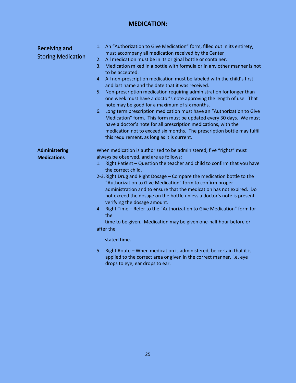# **MEDICATION:**

| Receiving and<br><b>Storing Medication</b> | An "Authorization to Give Medication" form, filled out in its entirety,<br>1.<br>must accompany all medication received by the Center<br>All medication must be in its original bottle or container.<br>2.<br>Medication mixed in a bottle with formula or in any other manner is not<br>3.<br>to be accepted.<br>All non-prescription medication must be labeled with the child's first<br>4.<br>and last name and the date that it was received.<br>Non-prescription medication requiring administration for longer than<br>5.<br>one week must have a doctor's note approving the length of use. That<br>note may be good for a maximum of six months.<br>Long term prescription medication must have an "Authorization to Give<br>6.<br>Medication" form. This form must be updated every 30 days. We must<br>have a doctor's note for all prescription medications, with the<br>medication not to exceed six months. The prescription bottle may fulfill<br>this requirement, as long as it is current. |
|--------------------------------------------|--------------------------------------------------------------------------------------------------------------------------------------------------------------------------------------------------------------------------------------------------------------------------------------------------------------------------------------------------------------------------------------------------------------------------------------------------------------------------------------------------------------------------------------------------------------------------------------------------------------------------------------------------------------------------------------------------------------------------------------------------------------------------------------------------------------------------------------------------------------------------------------------------------------------------------------------------------------------------------------------------------------|
| <b>Administering</b><br><b>Medications</b> | When medication is authorized to be administered, five "rights" must<br>always be observed, and are as follows:<br>Right Patient - Question the teacher and child to confirm that you have<br>1.<br>the correct child.<br>2-3. Right Drug and Right Dosage - Compare the medication bottle to the<br>"Authorization to Give Medication" form to confirm proper<br>administration and to ensure that the medication has not expired. Do<br>not exceed the dosage on the bottle unless a doctor's note is present<br>verifying the dosage amount.<br>Right Time - Refer to the "Authorization to Give Medication" form for<br>4.<br>the<br>time to be given. Medication may be given one-half hour before or<br>after the<br>stated time.                                                                                                                                                                                                                                                                      |
|                                            | 5.<br>Right Route - When medication is administered, be certain that it is                                                                                                                                                                                                                                                                                                                                                                                                                                                                                                                                                                                                                                                                                                                                                                                                                                                                                                                                   |

applied to the correct area or given in the correct manner, i.e. eye drops to eye, ear drops to ear.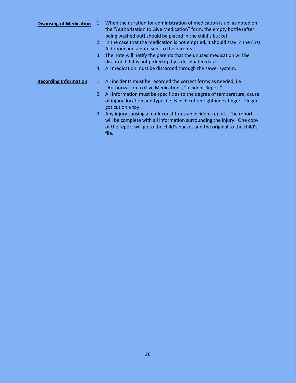#### **Disposing of Medication** 1. When the duration for administration of medication is up, as noted on the "Authorization to Give Medication" form, the empty bottle (after being washed out) should be placed in the child's bucket. 2. In the case that the medication is not emptied, it should stay in the First Aid room and a note sent to the parents. 3. The note will notify the parents that the unused medication will be discarded if it is not picked up by a designated date. 4. All medication must be discarded through the sewer system.

#### **Recording Information** 1. All incidents must be recorded the correct forms as needed, i.e. "Authorization to Give Medication", "Incident Report".

- 2. All information must be specific as to the degree of temperature, cause of injury, location and type, i.e. ¾ inch cut on right index finger. Finger got cut on a toy.
- 3. Any injury causing a mark constitutes an incident report. The report will be complete with all information surrounding the injury. One copy of the report will go to the child's bucket and the original to the child's file.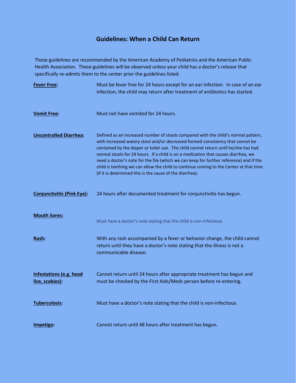# **Guidelines: When a Child Can Return**

These guidelines are recommended by the American Academy of Pediatrics and the American Public Health Association. These guidelines will be observed unless your child has a doctor's release that specifically re-admits them to the center prior the guidelines listed.

| <b>Fever Free:</b>                                | Must be fever free for 24 hours except for an ear infection. In case of an ear<br>infection, the child may return after treatment of antibiotics has started.                                                                                                                                                                                                                                                                                                                                                                                                                                     |
|---------------------------------------------------|---------------------------------------------------------------------------------------------------------------------------------------------------------------------------------------------------------------------------------------------------------------------------------------------------------------------------------------------------------------------------------------------------------------------------------------------------------------------------------------------------------------------------------------------------------------------------------------------------|
|                                                   |                                                                                                                                                                                                                                                                                                                                                                                                                                                                                                                                                                                                   |
| <b>Vomit Free:</b>                                | Must not have vomited for 24 hours.                                                                                                                                                                                                                                                                                                                                                                                                                                                                                                                                                               |
| <b>Uncontrolled Diarrhea:</b>                     | Defined as an increased number of stools compared with the child's normal pattern,<br>with increased watery stool and/or decreased formed consistency that cannot be<br>contained by the diaper or toilet use. The child cannot return until he/she has had<br>normal stools for 24 hours. If a child is on a medication that causes diarrhea, we<br>need a doctor's note for the file (which we can keep for further reference) and if the<br>child is teething we can allow the child to continue coming to the Center at that time<br>(if it is determined this is the cause of the diarrhea). |
| <b>Conjunctivitis (Pink Eye):</b>                 | 24 hours after documented treatment for conjunctivitis has begun.                                                                                                                                                                                                                                                                                                                                                                                                                                                                                                                                 |
| <b>Mouth Sores:</b>                               | Must have a doctor's note stating that the child is non-infectious.                                                                                                                                                                                                                                                                                                                                                                                                                                                                                                                               |
| Rash:                                             | With any rash accompanied by a fever or behavior change, the child cannot<br>return until they have a doctor's note stating that the illness is not a<br>communicable disease.                                                                                                                                                                                                                                                                                                                                                                                                                    |
| <b>Infestations (e.g. head</b><br>lice, scabies): | Cannot return until 24 hours after appropriate treatment has begun and<br>must be checked by the First Aids/Meds person before re-entering.                                                                                                                                                                                                                                                                                                                                                                                                                                                       |
| Tuberculosis:                                     | Must have a doctor's note stating that the child is non-infectious.                                                                                                                                                                                                                                                                                                                                                                                                                                                                                                                               |
| Impetigo:                                         | Cannot return until 48 hours after treatment has begun.                                                                                                                                                                                                                                                                                                                                                                                                                                                                                                                                           |